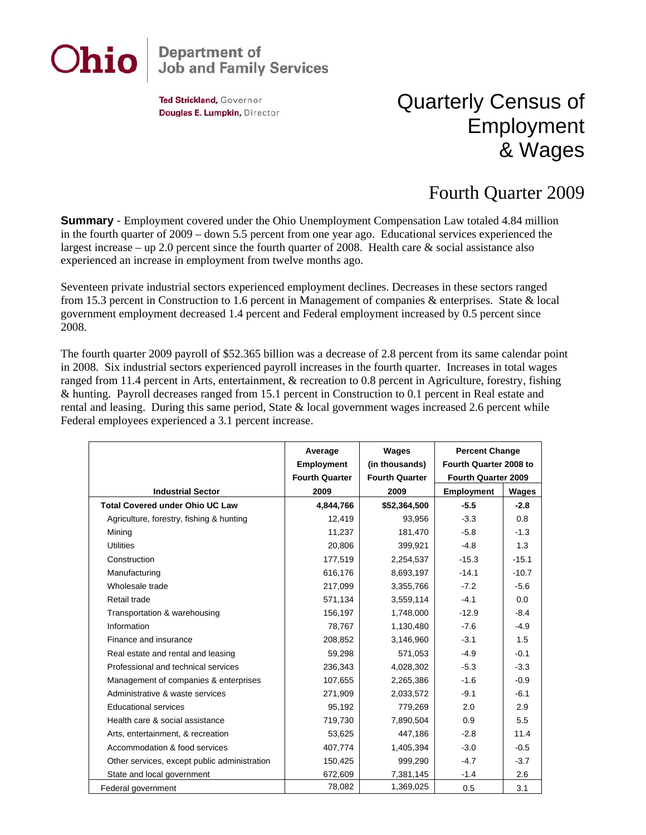

## **Department of<br>Job and Family Services**

Ted Strickland, Governor Douglas E. Lumpkin, Director

## Quarterly Census of Employment & Wages

## Fourth Quarter 2009

**Summary** - Employment covered under the Ohio Unemployment Compensation Law totaled 4.84 million in the fourth quarter of 2009 – down 5.5 percent from one year ago. Educational services experienced the largest increase – up 2.0 percent since the fourth quarter of 2008. Health care & social assistance also experienced an increase in employment from twelve months ago.

Seventeen private industrial sectors experienced employment declines. Decreases in these sectors ranged from 15.3 percent in Construction to 1.6 percent in Management of companies & enterprises. State & local government employment decreased 1.4 percent and Federal employment increased by 0.5 percent since 2008.

The fourth quarter 2009 payroll of \$52.365 billion was a decrease of 2.8 percent from its same calendar point in 2008. Six industrial sectors experienced payroll increases in the fourth quarter. Increases in total wages ranged from 11.4 percent in Arts, entertainment, & recreation to 0.8 percent in Agriculture, forestry, fishing & hunting. Payroll decreases ranged from 15.1 percent in Construction to 0.1 percent in Real estate and rental and leasing. During this same period, State & local government wages increased 2.6 percent while Federal employees experienced a 3.1 percent increase.

|                                              | Average<br><b>Employment</b> | Wages<br>(in thousands) | <b>Percent Change</b><br>Fourth Quarter 2008 to |         |
|----------------------------------------------|------------------------------|-------------------------|-------------------------------------------------|---------|
|                                              | <b>Fourth Quarter</b>        | <b>Fourth Quarter</b>   | Fourth Quarter 2009                             |         |
| <b>Industrial Sector</b>                     | 2009                         | 2009                    | <b>Employment</b>                               | Wages   |
| <b>Total Covered under Ohio UC Law</b>       | 4,844,766                    | \$52,364,500            | $-5.5$                                          | $-2.8$  |
| Agriculture, forestry, fishing & hunting     | 12,419                       | 93,956                  | $-3.3$                                          | 0.8     |
| Mining                                       | 11,237                       | 181,470                 | $-5.8$                                          | $-1.3$  |
| <b>Utilities</b>                             | 20,806                       | 399,921                 | $-4.8$                                          | 1.3     |
| Construction                                 | 177,519                      | 2,254,537               | $-15.3$                                         | $-15.1$ |
| Manufacturing                                | 616,176                      | 8,693,197               | $-14.1$                                         | $-10.7$ |
| Wholesale trade                              | 217,099                      | 3,355,766               | $-7.2$                                          | $-5.6$  |
| Retail trade                                 | 571,134                      | 3,559,114               | $-4.1$                                          | 0.0     |
| Transportation & warehousing                 | 156,197                      | 1,748,000               | $-12.9$                                         | $-8.4$  |
| Information                                  | 78,767                       | 1,130,480               | $-7.6$                                          | $-4.9$  |
| Finance and insurance                        | 208,852                      | 3,146,960               | $-3.1$                                          | 1.5     |
| Real estate and rental and leasing           | 59,298                       | 571,053                 | $-4.9$                                          | $-0.1$  |
| Professional and technical services          | 236,343                      | 4,028,302               | $-5.3$                                          | $-3.3$  |
| Management of companies & enterprises        | 107,655                      | 2,265,386               | $-1.6$                                          | $-0.9$  |
| Administrative & waste services              | 271,909                      | 2,033,572               | $-9.1$                                          | $-6.1$  |
| <b>Educational services</b>                  | 95,192                       | 779,269                 | 2.0                                             | 2.9     |
| Health care & social assistance              | 719,730                      | 7,890,504               | 0.9                                             | 5.5     |
| Arts, entertainment, & recreation            | 53,625                       | 447,186                 | $-2.8$                                          | 11.4    |
| Accommodation & food services                | 407,774                      | 1,405,394               | $-3.0$                                          | $-0.5$  |
| Other services, except public administration | 150,425                      | 999,290                 | $-4.7$                                          | $-3.7$  |
| State and local government                   | 672,609                      | 7,381,145               | $-1.4$                                          | 2.6     |
| Federal government                           | 78,082                       | 1,369,025               | 0.5                                             | 3.1     |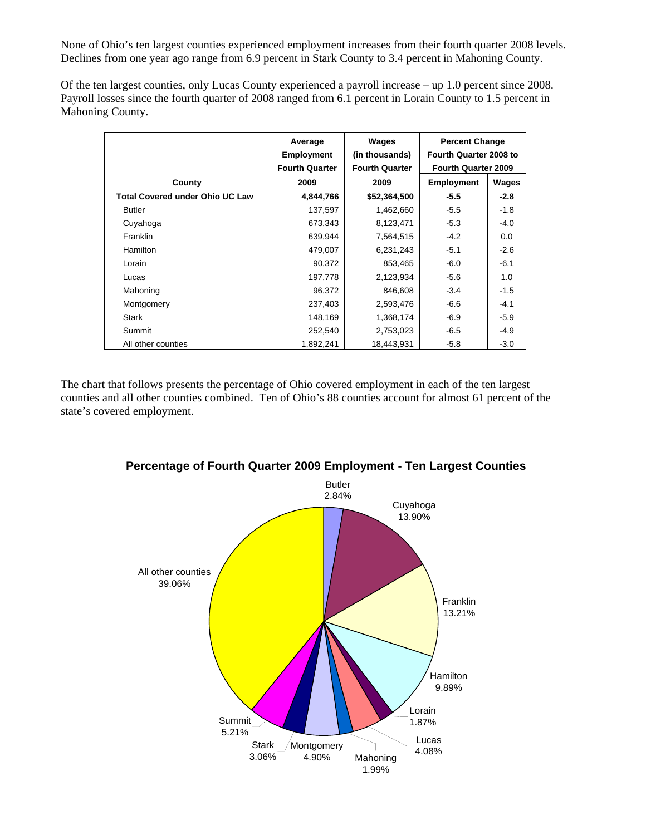None of Ohio's ten largest counties experienced employment increases from their fourth quarter 2008 levels. Declines from one year ago range from 6.9 percent in Stark County to 3.4 percent in Mahoning County.

Of the ten largest counties, only Lucas County experienced a payroll increase – up 1.0 percent since 2008. Payroll losses since the fourth quarter of 2008 ranged from 6.1 percent in Lorain County to 1.5 percent in Mahoning County.

|                                        | Average<br><b>Employment</b><br><b>Fourth Quarter</b> | Wages<br>(in thousands)<br><b>Fourth Quarter</b> | <b>Percent Change</b><br>Fourth Quarter 2008 to<br><b>Fourth Quarter 2009</b> |        |
|----------------------------------------|-------------------------------------------------------|--------------------------------------------------|-------------------------------------------------------------------------------|--------|
| County                                 | 2009                                                  | 2009                                             | <b>Employment</b>                                                             | Wages  |
| <b>Total Covered under Ohio UC Law</b> | 4,844,766                                             | \$52,364,500                                     | $-5.5$                                                                        | $-2.8$ |
| <b>Butler</b>                          | 137,597                                               | 1,462,660                                        | $-5.5$                                                                        | $-1.8$ |
| Cuyahoga                               | 673,343                                               | 8,123,471                                        | $-5.3$                                                                        | $-4.0$ |
| Franklin                               | 639,944                                               | 7,564,515                                        | $-4.2$                                                                        | 0.0    |
| <b>Hamilton</b>                        | 479,007                                               | 6,231,243                                        | $-5.1$                                                                        | $-2.6$ |
| Lorain                                 | 90,372                                                | 853,465                                          | $-6.0$                                                                        | $-6.1$ |
| Lucas                                  | 197,778                                               | 2,123,934                                        | $-5.6$                                                                        | 1.0    |
| Mahoning                               | 96,372                                                | 846,608                                          | $-3.4$                                                                        | $-1.5$ |
| Montgomery                             | 237,403                                               | 2,593,476                                        | $-6.6$                                                                        | $-4.1$ |
| <b>Stark</b>                           | 148,169                                               | 1,368,174                                        | $-6.9$                                                                        | $-5.9$ |
| Summit                                 | 252,540                                               | 2,753,023                                        | $-6.5$                                                                        | $-4.9$ |
| All other counties                     | 1,892,241                                             | 18,443,931                                       | $-5.8$                                                                        | $-3.0$ |

The chart that follows presents the percentage of Ohio covered employment in each of the ten largest counties and all other counties combined. Ten of Ohio's 88 counties account for almost 61 percent of the state's covered employment.



**Percentage of Fourth Quarter 2009 Employment - Ten Largest Counties**